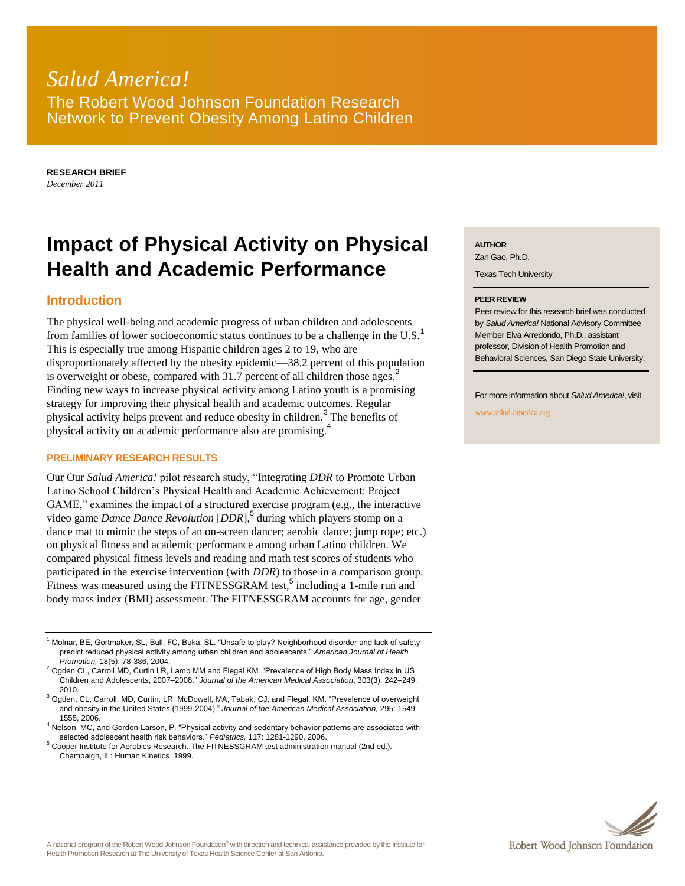# *Salud America!* The Robert Wood Johnson Foundation Research Network to Prevent Obesity Among Latino Children

**RESEARCH BRIEF** *December 2011*

# **Impact of Physical Activity on Physical Health and Academic Performance**

# **Introduction**

The physical well-being and academic progress of urban children and adolescents from families of lower socioeconomic status continues to be a challenge in the U.S.<sup>1</sup> This is especially true among Hispanic children ages 2 to 19, who are disproportionately affected by the obesity epidemic—38.2 percent of this population is overweight or obese, compared with  $31.7$  percent of all children those ages.<sup>2</sup> Finding new ways to increase physical activity among Latino youth is a promising strategy for improving their physical health and academic outcomes. Regular physical activity helps prevent and reduce obesity in children.<sup>3</sup> The benefits of physical activity on academic performance also are promising.<sup>4</sup>

#### **PRELIMINARY RESEARCH RESULTS**

Our Our *Salud America!* pilot research study, "Integrating *DDR* to Promote Urban Latino School Children's Physical Health and Academic Achievement: Project GAME," examines the impact of a structured exercise program (e.g., the interactive video game *Dance Dance Revolution* [*DDR*], 5 during which players stomp on a dance mat to mimic the steps of an on-screen dancer; aerobic dance; jump rope; etc.) on physical fitness and academic performance among urban Latino children. We compared physical fitness levels and reading and math test scores of students who participated in the exercise intervention (with *DDR*) to those in a comparison group. Fitness was measured using the FITNESSGRAM test,<sup>5</sup> including a 1-mile run and body mass index (BMI) assessment. The FITNESSGRAM accounts for age, gender

#### **AUTHOR**

Zan Gao, Ph.D.

Texas Tech University

#### **PEER REVIEW**

Peer review for this research brief was conducted by *Salud America!* National Advisory Committee Member Elva Arredondo, Ph.D., assistant professor, Division of Health Promotion and Behavioral Sciences, San Diego State University.

For more information about *Salud America!*, visit

www.salud-america.org

<sup>&</sup>lt;sup>1</sup> Molnar, BE, Gortmaker, SL, Bull, FC, Buka, SL. "Unsafe to play? Neighborhood disorder and lack of safety predict reduced physical activity among urban children and adolescents." *American Journal of Health Promotion,* 18(5): 78-386, 2004.

 $2$  Ogden CL, Carroll MD, Curtin LR, Lamb MM and Flegal KM. "Prevalence of High Body Mass Index in US Children and Adolescents, 2007–2008." *Journal of the American Medical Association*, 303(3): 242–249, 2010.

<sup>3</sup> Ogden, CL, Carroll, MD, Curtin, LR, McDowell, MA, Tabak, CJ, and Flegal, KM. "Prevalence of overweight and obesity in the United States (1999-2004)." *Journal of the American Medical Association,* 295: 1549- 1555, 2006.

<sup>4</sup> Nelson, MC, and Gordon-Larson, P. "Physical activity and sedentary behavior patterns are associated with selected adolescent health risk behaviors." *Pediatrics,* 117: 1281-1290, 2006.

<sup>5</sup> Cooper Institute for Aerobics Research. The FITNESSGRAM test administration manual (2nd ed.). Champaign, IL: Human Kinetics. 1999.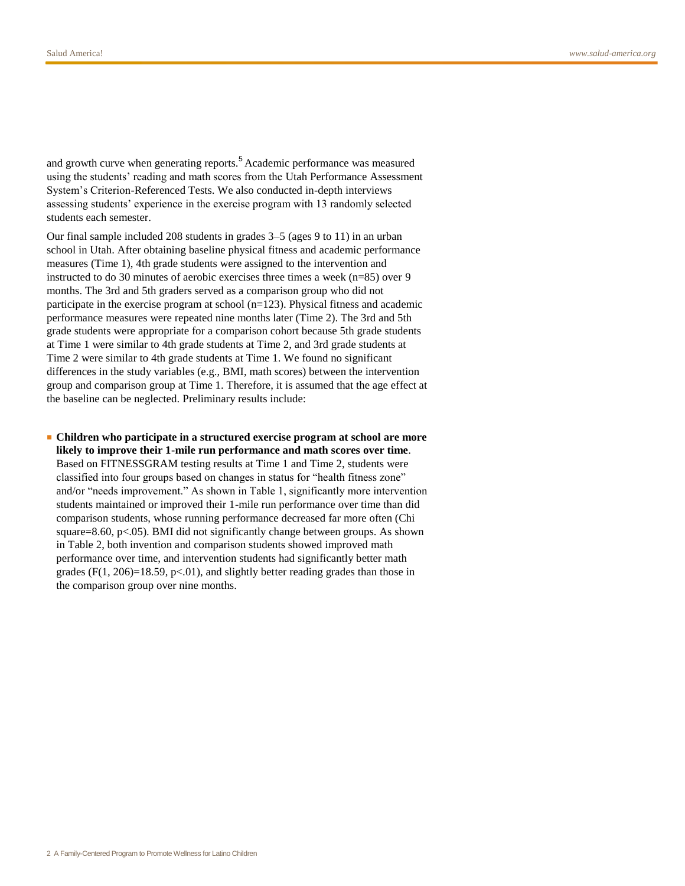and growth curve when generating reports.<sup>5</sup> Academic performance was measured using the students' reading and math scores from the Utah Performance Assessment System's Criterion-Referenced Tests. We also conducted in-depth interviews assessing students' experience in the exercise program with 13 randomly selected students each semester.

Our final sample included 208 students in grades 3–5 (ages 9 to 11) in an urban school in Utah. After obtaining baseline physical fitness and academic performance measures (Time 1), 4th grade students were assigned to the intervention and instructed to do 30 minutes of aerobic exercises three times a week (n=85) over 9 months. The 3rd and 5th graders served as a comparison group who did not participate in the exercise program at school (n=123). Physical fitness and academic performance measures were repeated nine months later (Time 2). The 3rd and 5th grade students were appropriate for a comparison cohort because 5th grade students at Time 1 were similar to 4th grade students at Time 2, and 3rd grade students at Time 2 were similar to 4th grade students at Time 1. We found no significant differences in the study variables (e.g., BMI, math scores) between the intervention group and comparison group at Time 1. Therefore, it is assumed that the age effect at the baseline can be neglected. Preliminary results include:

■ **Children who participate in a structured exercise program at school are more likely to improve their 1-mile run performance and math scores over time**. Based on FITNESSGRAM testing results at Time 1 and Time 2, students were classified into four groups based on changes in status for "health fitness zone" and/or "needs improvement." As shown in Table 1, significantly more intervention students maintained or improved their 1-mile run performance over time than did comparison students, whose running performance decreased far more often (Chi square= $8.60$ , p $< .05$ ). BMI did not significantly change between groups. As shown in Table 2, both invention and comparison students showed improved math performance over time, and intervention students had significantly better math grades (F(1, 206)=18.59, p<.01), and slightly better reading grades than those in the comparison group over nine months.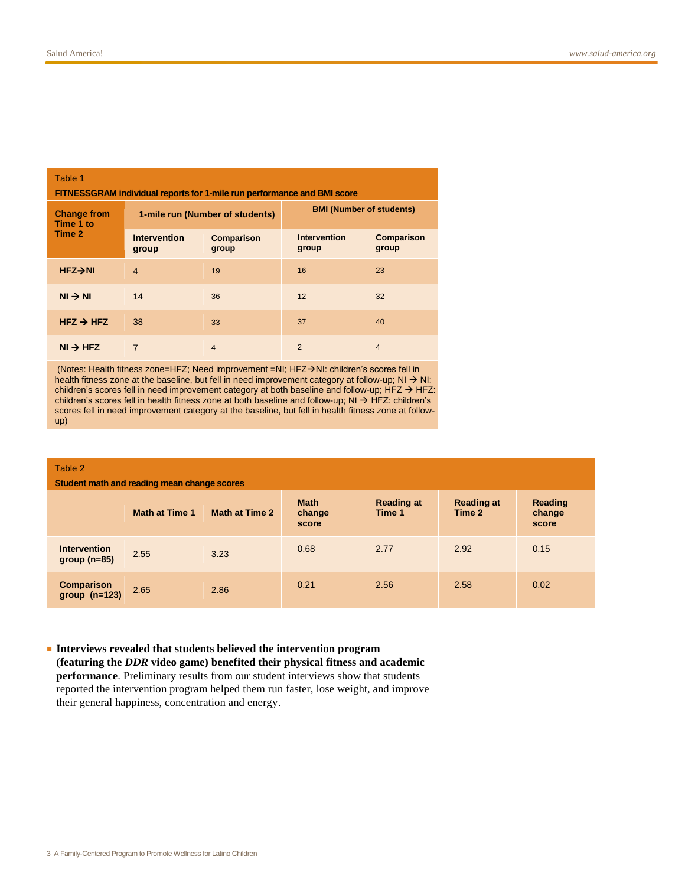# Table 1 **FITNESSGRAM individual reports for 1-mile run performance and BMI score**

| <b>Change from</b><br>Time 1 to<br>Time 2 | 1-mile run (Number of students) |                            | <b>BMI (Number of students)</b> |                            |  |
|-------------------------------------------|---------------------------------|----------------------------|---------------------------------|----------------------------|--|
|                                           | <b>Intervention</b><br>group    | <b>Comparison</b><br>group | <b>Intervention</b><br>group    | <b>Comparison</b><br>group |  |
| $HFZ \rightarrow NI$                      | $\overline{4}$                  | 19                         | 16                              | 23                         |  |
| $NI \rightarrow NI$                       | 14                              | 36                         | 12                              | 32                         |  |
| $H FZ \rightarrow H FZ$                   | 38                              | 33                         | 37                              | 40                         |  |
| $NI \rightarrow HFZ$                      | 7                               | $\overline{4}$             | $\overline{2}$                  | $\overline{4}$             |  |

(Notes: Health fitness zone=HFZ; Need improvement =NI; HFZ->NI: children's scores fell in health fitness zone at the baseline, but fell in need improvement category at follow-up;  $N I \rightarrow N I$ : children's scores fell in need improvement category at both baseline and follow-up;  $HFZ \rightarrow HFZ$ : children's scores fell in health fitness zone at both baseline and follow-up; NI  $\rightarrow$  HFZ: children's scores fell in need improvement category at the baseline, but fell in health fitness zone at followup)

### Table 2

**Student math and reading mean change scores**

|                                      | <b>Math at Time 1</b> | <b>Math at Time 2</b> | <b>Math</b><br>change<br>score | <b>Reading at</b><br>Time 1 | <b>Reading at</b><br>Time 2 | Reading<br>change<br>score |
|--------------------------------------|-----------------------|-----------------------|--------------------------------|-----------------------------|-----------------------------|----------------------------|
| <b>Intervention</b><br>$group(n=85)$ | 2.55                  | 3.23                  | 0.68                           | 2.77                        | 2.92                        | 0.15                       |
| Comparison<br>group (n=123)          | 2.65                  | 2.86                  | 0.21                           | 2.56                        | 2.58                        | 0.02                       |

■ **Interviews revealed that students believed the intervention program (featuring the** *DDR* **video game) benefited their physical fitness and academic performance**. Preliminary results from our student interviews show that students reported the intervention program helped them run faster, lose weight, and improve their general happiness, concentration and energy.